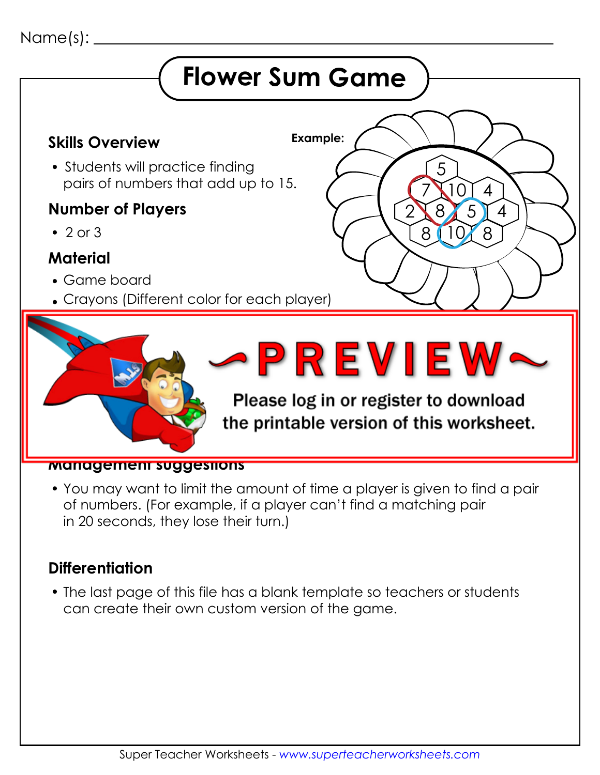### Name(s):

## **Flower Sum Game**

5

7

10 8

2 8

 $(10)$ 

4

 $5$   $\sqrt{4}$ 

 $8$ 

#### **Example: Skills Overview**

• Students will practice finding pairs of numbers that add up to 15.

#### **Number of Players**

 $\cdot$  2 or 3

#### **Material**

- Game board
- Crayons (Different color for each player)



#### **Management suggestions**

 You may want to limit the amount of time a player is given to find a pair of numbers. (For example, if a player can't find a matching pair in 20 seconds, they lose their turn.)

#### **Differentiation**

 The last page of this file has a blank template so teachers or students can create their own custom version of the game.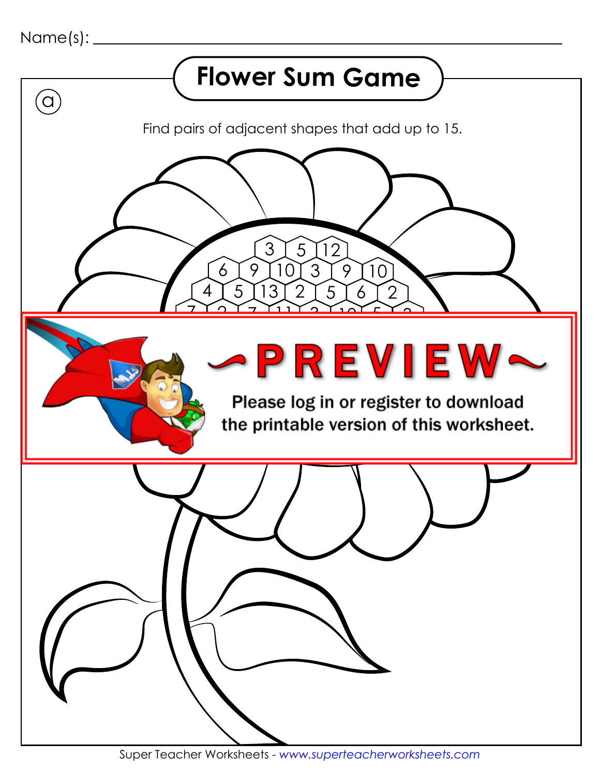```
Name(s):
```
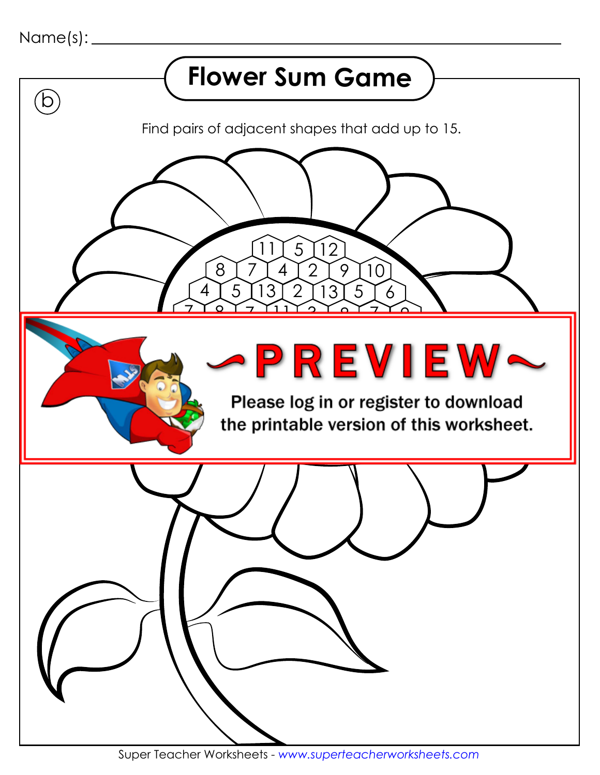

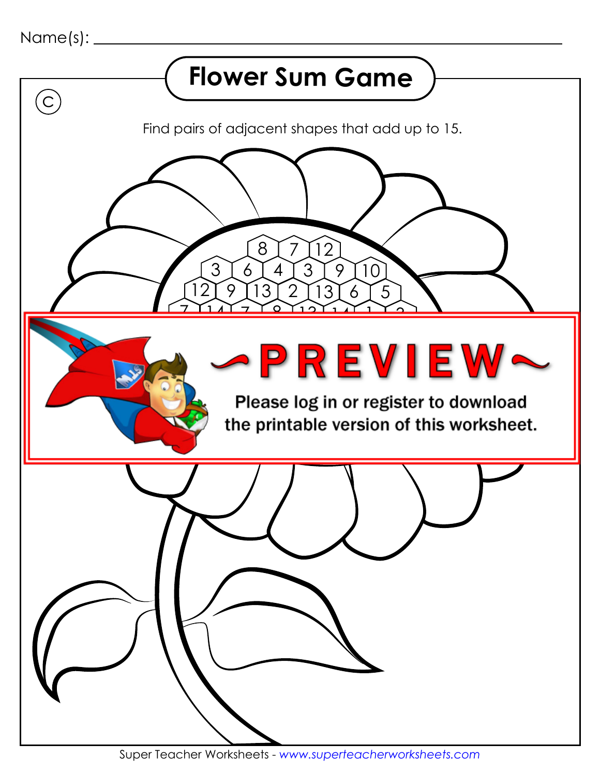

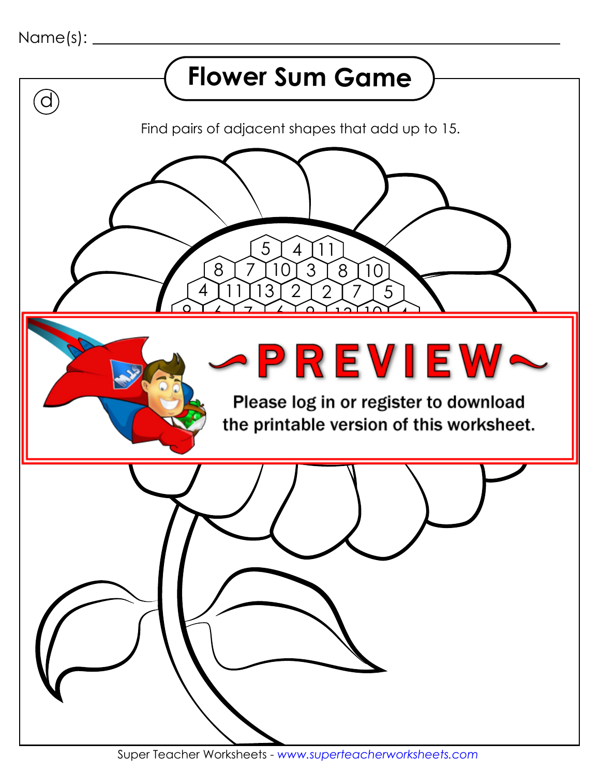